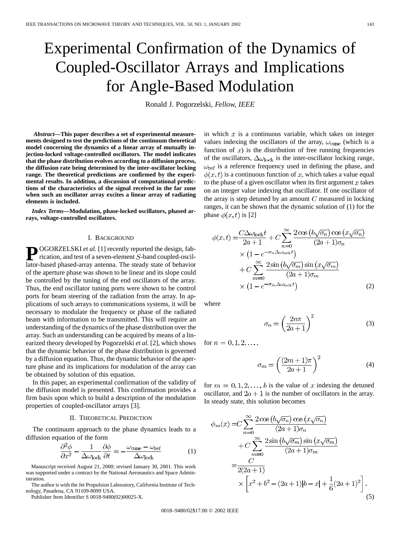# Experimental Confirmation of the Dynamics of Coupled-Oscillator Arrays and Implications for Angle-Based Modulation

Ronald J. Pogorzelski*, Fellow, IEEE*

*Abstract—***This paper describes a set of experimental measurements designed to test the predictions of the continuum theoretical model concerning the dynamics of a linear array of mutually injection-locked voltage-controlled oscillators. The model indicates that the phase distribution evolves according to a diffusion process, the diffusion rate being determined by the inter-oscillator locking range. The theoretical predictions are confirmed by the experimental results. In addition, a discussion of computational predictions of the characteristics of the signal received in the far zone when such an oscillator array excites a linear array of radiating elements is included.**

*Index Terms—***Modulation, phase-locked oscillators, phased arrays, voltage-controlled oscillators.**

## I. BACKGROUND

**P** OGORZELSKI *et al.* [1] recently reported the design, fabrication, and test of a seven-element  $S$ -band coupled-oscillator-based phased-array antenna. The steady state of behavior of the aperture phase was shown to be linear and its slope could be controlled by the tuning of the end oscillators of the array. Thus, the end oscillator tuning ports were shown to be control ports for beam steering of the radiation from the array. In applications of such arrays to communications systems, it will be necessary to modulate the frequency or phase of the radiated beam with information to be transmitted. This will require an understanding of the dynamics of the phase distribution over the array. Such an understanding can be acquired by means of a linearized theory developed by Pogorzelski *et al.* [2], which shows that the dynamic behavior of the phase distribution is governed by a diffusion equation. Thus, the dynamic behavior of the aperture phase and its implications for modulation of the array can be obtained by solution of this equation.

In this paper, an experimental confirmation of the validity of the diffusion model is presented. This confirmation provides a firm basis upon which to build a description of the modulation properties of coupled-oscillator arrays [3].

# II. THEORETICAL PREDICTION

The continuum approach to the phase dynamics leads to a diffusion equation of the form

$$
\frac{\partial^2 \phi}{\partial x^2} - \frac{1}{\Delta \omega_{\text{lock}}} \frac{\partial \phi}{\partial t} = -\frac{\omega_{\text{tune}} - \omega_{\text{ref}}}{\Delta \omega_{\text{lock}}} \tag{1}
$$

Manuscript received August 21, 2000; revised January 30, 2001. This work was supported under a contract by the National Aeronautics and Space Administration.

The author is with the Jet Propulsion Laboratory, California Institute of Technology, Pasadena, CA 91109-8099 USA.

Publisher Item Identifier S 0018-9480(02)00025-X.

in which  $x$  is a continuous variable, which takes on integer values indexing the oscillators of the array,  $\omega_{\text{tune}}$  (which is a function of  $x$ ) is the distribution of free running frequencies of the oscillators,  $\Delta \omega_{\text{lock}}$  is the inter-oscillator locking range,  $\omega_{\text{ref}}$  is a reference frequency used in defining the phase, and  $\phi(x, t)$  is a continuous function of x, which takes a value equal to the phase of a given oscillator when its first argument  $x$  takes on an integer value indexing that oscillator. If one oscillator of the array is step detuned by an amount  $C$  measured in locking ranges, it can be shown that the dynamic solution of (1) for the phase  $\phi(x, t)$  is [2]

$$
\phi(x,t) = \frac{C\Delta\omega_{\text{lock}}t}{2a+1} + C \sum_{n=0}^{\infty} \frac{2\cos\left(b\sqrt{\sigma_n}\right)\cos\left(x\sqrt{\sigma_n}\right)}{(2a+1)\sigma_n} \times \left(1 - e^{-\sigma_n\Delta\omega_{\text{lock}}t}\right) + C \sum_{m=0}^{\infty} \frac{2\sin\left(b\sqrt{\sigma_m}\right)\sin\left(x\sqrt{\sigma_m}\right)}{(2a+1)\sigma_m} \times \left(1 - e^{-\sigma_m\Delta\omega_{\text{lock}}t}\right) \tag{2}
$$

where

$$
\sigma_n = \left(\frac{2n\pi}{2a+1}\right)^2\tag{3}
$$

for  $n = 0, 1, 2, ...,$ 

$$
\sigma_m = \left(\frac{(2m+1)\pi}{2a+1}\right)^2\tag{4}
$$

for  $m = 0, 1, 2, \dots, b$  is the value of x indexing the detuned oscillator, and  $2a + 1$  is the number of oscillators in the array. In steady state, this solution becomes

$$
\phi_{ss}(x) = C \sum_{n=0}^{\infty} \frac{2 \cos (b \sqrt{\sigma_n}) \cos (x \sqrt{\sigma_n})}{(2a+1)\sigma_n} + C \sum_{m=0}^{\infty} \frac{2 \sin (b \sqrt{\sigma_m}) \sin (x \sqrt{\sigma_m})}{(2a+1)\sigma_m} = \frac{C}{2(2a+1)} \times \left[ x^2 + b^2 - (2a+1)|b-x| + \frac{1}{6}(2a+1)^2 \right].
$$
\n(5)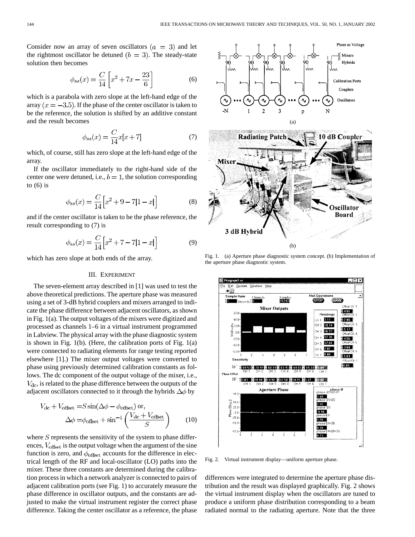Consider now an array of seven oscillators  $(a = 3)$  and let the rightmost oscillator be detuned  $(b = 3)$ . The steady-state solution then becomes

$$
\phi_{ss}(x) = \frac{C}{14} \left[ x^2 + 7x - \frac{23}{6} \right] \tag{6}
$$

which is a parabola with zero slope at the left-hand edge of the array  $(x = -3.5)$ . If the phase of the center oscillator is taken to be the reference, the solution is shifted by an additive constant and the result becomes

$$
\phi_{ss}(x) = \frac{C}{14}x[x+7]
$$
 (7)

which, of course, still has zero slope at the left-hand edge of the array.

If the oscillator immediately to the right-hand side of the center one were detuned, i.e.,  $b = 1$ , the solution corresponding to  $(6)$  is

$$
\phi_{ss}(x) = \frac{C}{14} \Big[ x^2 + 9 - 7|1 - x| \Big] \tag{8}
$$

and if the center oscillator is taken to be the phase reference, the result corresponding to (7) is

$$
\phi_{ss}(x) = \frac{C}{14} \Big[ x^2 + 7 - 7|1 - x| \Big] \tag{9}
$$

which has zero slope at both ends of the array.

### III. EXPERIMENT

The seven-element array described in [1] was used to test the above theoretical predictions. The aperture phase was measured using a set of 3-dB hybrid couplers and mixers arranged to indicate the phase difference between adjacent oscillators, as shown in Fig. 1(a). The output voltages of the mixers were digitized and processed as channels 1–6 in a virtual instrument programmed in Labview. The physical array with the phase diagnostic system is shown in Fig. 1(b). (Here, the calibration ports of Fig. 1(a) were connected to radiating elements for range testing reported elsewhere [1].) The mixer output voltages were converted to phase using previously determined calibration constants as follows. The dc component of the output voltage of the mixer, i.e.,  $V_{\text{dc}}$ , is related to the phase difference between the outputs of the adjacent oscillators connected to it through the hybrids  $\Delta \phi$  by

$$
V_{\text{dc}} + V_{\text{offset}} = S \sin(\Delta \phi - \phi_{\text{offset}}) \text{ or,}
$$

$$
\Delta \phi = \phi_{\text{offset}} + \sin^{-1} \left( \frac{V_{\text{dc}} + V_{\text{offset}}}{S} \right) \tag{10}
$$

where  $S$  represents the sensitivity of the system to phase differences,  $V_{\text{offset}}$  is the output voltage when the argument of the sine function is zero, and  $\phi$ <sub>offset</sub> accounts for the difference in electrical length of the RF and local-oscillator (LO) paths into the mixer. These three constants are determined during the calibration process in which a network analyzer is connected to pairs of adjacent calibration ports (see Fig. 1) to accurately measure the phase difference in oscillator outputs, and the constants are adjusted to make the virtual instrument register the correct phase difference. Taking the center oscillator as a reference, the phase



Fig. 1. (a) Aperture phase diagnostic system concept. (b) Implementation of the aperture phase diagnostic system.



Fig. 2. Virtual instrument display—uniform aperture phase.

differences were integrated to determine the aperture phase distribution and the result was displayed graphically. Fig. 2 shows the virtual instrument display when the oscillators are tuned to produce a uniform phase distribution corresponding to a beam radiated normal to the radiating aperture. Note that the three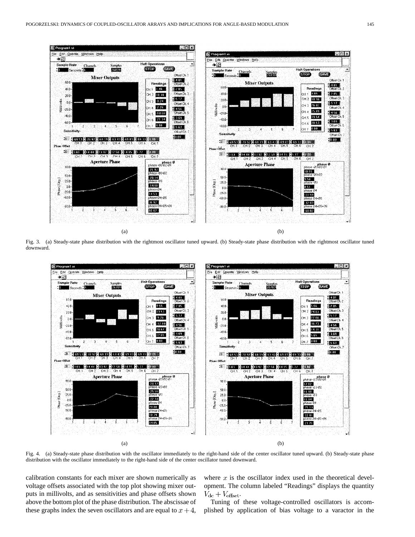

Fig. 3. (a) Steady-state phase distribution with the rightmost oscillator tuned upward. (b) Steady-state phase distribution with the rightmost oscillator tuned downward.



Fig. 4. (a) Steady-state phase distribution with the oscillator immediately to the right-hand side of the center oscillator tuned upward. (b) Steady-state phase distribution with the oscillator immediately to the right-hand side of the center oscillator tuned downward.

calibration constants for each mixer are shown numerically as voltage offsets associated with the top plot showing mixer outputs in millivolts, and as sensitivities and phase offsets shown above the bottom plot of the phase distribution. The abscissae of these graphs index the seven oscillators and are equal to  $x + 4$ , where  $x$  is the oscillator index used in the theoretical development. The column labeled "Readings" displays the quantity  $V_{\text{dc}} + V_{\text{offset}}$ .

Tuning of these voltage-controlled oscillators is accomplished by application of bias voltage to a varactor in the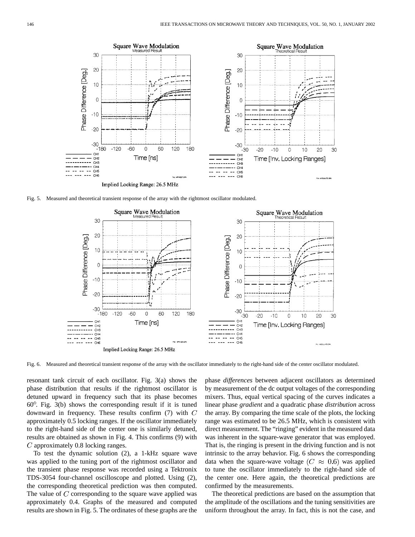

Fig. 5. Measured and theoretical transient response of the array with the rightmost oscillator modulated.



Fig. 6. Measured and theoretical transient response of the array with the oscillator immediately to the right-hand side of the center oscillator modulated.

resonant tank circuit of each oscillator. Fig. 3(a) shows the phase distribution that results if the rightmost oscillator is detuned upward in frequency such that its phase becomes  $60^\circ$ . Fig. 3(b) shows the corresponding result if it is tuned downward in frequency. These results confirm  $(7)$  with  $C$ approximately 0.5 locking ranges. If the oscillator immediately to the right-hand side of the center one is similarly detuned, results are obtained as shown in Fig. 4. This confirms (9) with  $C$  approximately 0.8 locking ranges.

To test the dynamic solution (2), a 1-kHz square wave was applied to the tuning port of the rightmost oscillator and the transient phase response was recorded using a Tektronix TDS-3054 four-channel oscilloscope and plotted. Using (2), the corresponding theoretical prediction was then computed. The value of  $C$  corresponding to the square wave applied was approximately 0.4. Graphs of the measured and computed results are shown in Fig. 5. The ordinates of these graphs are the phase *differences* between adjacent oscillators as determined by measurement of the dc output voltages of the corresponding mixers. Thus, equal vertical spacing of the curves indicates a linear phase *gradient* and a quadratic phase *distribution* across the array. By comparing the time scale of the plots, the locking range was estimated to be 26.5 MHz, which is consistent with direct measurement. The "ringing" evident in the measured data was inherent in the square-wave generator that was employed. That is, the ringing is present in the driving function and is not intrinsic to the array behavior. Fig. 6 shows the corresponding data when the square-wave voltage  $(C \approx 0.6)$  was applied to tune the oscillator immediately to the right-hand side of the center one. Here again, the theoretical predictions are confirmed by the measurements.

The theoretical predictions are based on the assumption that the amplitude of the oscillations and the tuning sensitivities are uniform throughout the array. In fact, this is not the case, and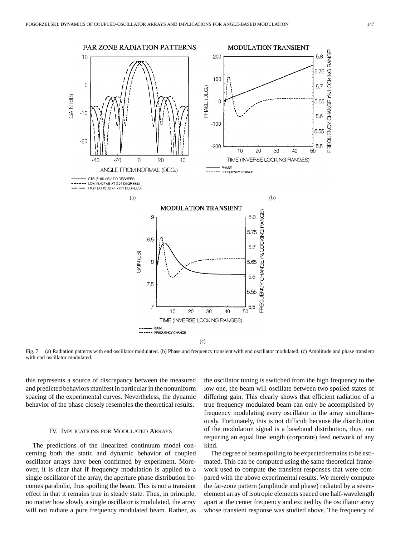

Fig. 7. (a) Radiation patterns with end oscillator modulated. (b) Phase and frequency transient with end oscillator modulated. (c) Amplitude and phase transient with end oscillator modulated.

this represents a source of discrepancy between the measured and predicted behaviors manifest in particular in the nonuniform spacing of the experimental curves. Nevertheless, the dynamic behavior of the phase closely resembles the theoretical results.

#### IV. IMPLICATIONS FOR MODULATED ARRAYS

The predictions of the linearized continuum model concerning both the static and dynamic behavior of coupled oscillator arrays have been confirmed by experiment. Moreover, it is clear that if frequency modulation is applied to a single oscillator of the array, the aperture phase distribution becomes parabolic, thus spoiling the beam. This is not a transient effect in that it remains true in steady state. Thus, in principle, no matter how slowly a single oscillator is modulated, the array will not radiate a pure frequency modulated beam. Rather, as the oscillator tuning is switched from the high frequency to the low one, the beam will oscillate between two spoiled states of differing gain. This clearly shows that efficient radiation of a true frequency modulated beam can only be accomplished by frequency modulating every oscillator in the array simultaneously. Fortunately, this is not difficult because the distribution of the modulation signal is a baseband distribution, thus, not requiring an equal line length (corporate) feed network of any kind.

The degree of beam spoiling to be expected remains to be estimated. This can be computed using the same theoretical framework used to compute the transient responses that were compared with the above experimental results. We merely compute the far-zone pattern (amplitude and phase) radiated by a sevenelement array of isotropic elements spaced one half-wavelength apart at the center frequency and excited by the oscillator array whose transient response was studied above. The frequency of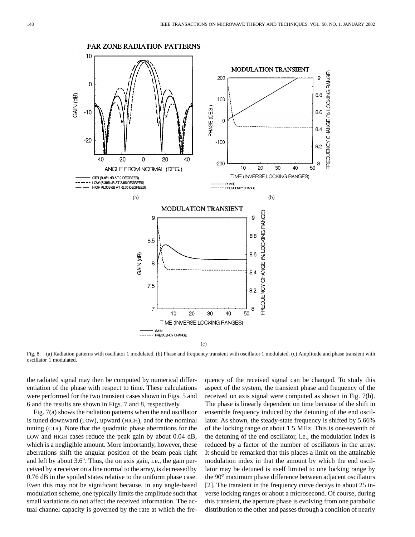

Fig. 8. (a) Radiation patterns with oscillator 1 modulated. (b) Phase and frequency transient with oscillator 1 modulated. (c) Amplitude and phase transient with oscillator 1 modulated.

the radiated signal may then be computed by numerical differentiation of the phase with respect to time. These calculations were performed for the two transient cases shown in Figs. 5 and 6 and the results are shown in Figs. 7 and 8, respectively.

Fig. 7(a) shows the radiation patterns when the end oscillator is tuned downward (LOW), upward (HIGH), and for the nominal tuning (CTR). Note that the quadratic phase aberrations for the LOW and HIGH cases reduce the peak gain by about 0.04 dB, which is a negligible amount. More importantly, however, these aberrations shift the angular position of the beam peak right and left by about  $3.6^\circ$ . Thus, the on axis gain, i.e., the gain perceived by a receiver on a line normal to the array, is decreased by 0.76 dB in the spoiled states relative to the uniform phase case. Even this may not be significant because, in any angle-based modulation scheme, one typically limits the amplitude such that small variations do not affect the received information. The actual channel capacity is governed by the rate at which the frequency of the received signal can be changed. To study this aspect of the system, the transient phase and frequency of the received on axis signal were computed as shown in Fig. 7(b). The phase is linearly dependent on time because of the shift in ensemble frequency induced by the detuning of the end oscillator. As shown, the steady-state frequency is shifted by 5.66% of the locking range or about 1.5 MHz. This is one-seventh of the detuning of the end oscillator, i.e., the modulation index is reduced by a factor of the number of oscillators in the array. It should be remarked that this places a limit on the attainable modulation index in that the amount by which the end oscillator may be detuned is itself limited to one locking range by the 90° maximum phase difference between adjacent oscillators [2]. The transient in the frequency curve decays in about 25 inverse locking ranges or about a microsecond. Of course, during this transient, the aperture phase is evolving from one parabolic distribution to the other and passes through a condition of nearly